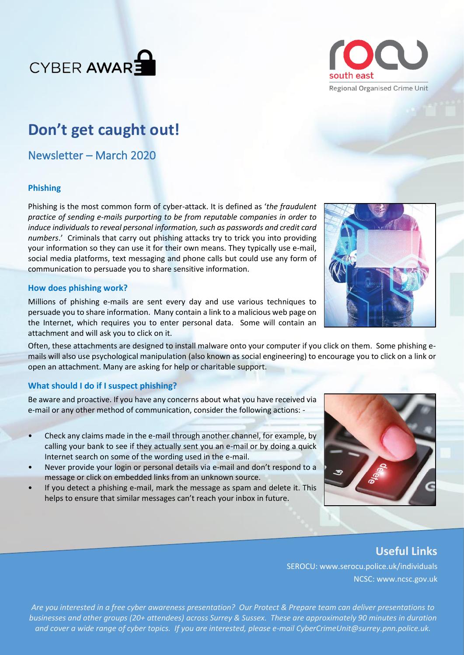



## **Don't get caught out!**

Newsletter – March 2020

#### **Phishing**

Phishing is the most common form of cyber-attack. It is defined as '*the fraudulent practice of sending e-mails purporting to be from reputable companies in order to induce individuals to reveal personal information, such as passwords and credit card numbers*.' Criminals that carry out phishing attacks try to trick you into providing your information so they can use it for their own means. They typically use e-mail, social media platforms, text messaging and phone calls but could use any form of communication to persuade you to share sensitive information.

#### **How does phishing work?**

Millions of phishing e-mails are sent every day and use various techniques to persuade you to share information. Many contain a link to a malicious web page on the Internet, which requires you to enter personal data. Some will contain an attachment and will ask you to click on it.

Often, these attachments are designed to install malware onto your computer if you click on them. Some phishing emails will also use psychological manipulation (also known as social engineering) to encourage you to click on a link or open an attachment. Many are asking for help or charitable support.

#### **What should I do if I suspect phishing?**

Be aware and proactive. If you have any concerns about what you have received via e-mail or any other method of communication, consider the following actions: -

- Check any claims made in the e-mail through another channel, for example, by calling your bank to see if they actually sent you an e-mail or by doing a quick Internet search on some of the wording used in the e-mail.
- Never provide your login or personal details via e-mail and don't respond to a message or click on embedded links from an unknown source.
- If you detect a phishing e-mail, mark the message as spam and delete it. This helps to ensure that similar messages can't reach your inbox in future.



### **Useful Links**

SEROCU: www.serocu.police.uk/individuals NCSC: www.ncsc.gov.uk

*Are you interested in a free cyber awareness presentation? Our Protect & Prepare team can deliver presentations to businesses and other groups (20+ attendees) across Surrey & Sussex. These are approximately 90 minutes in duration and cover a wide range of cyber topics. If you are interested, please e-mail CyberCrimeUnit@surrey.pnn.police.uk.*